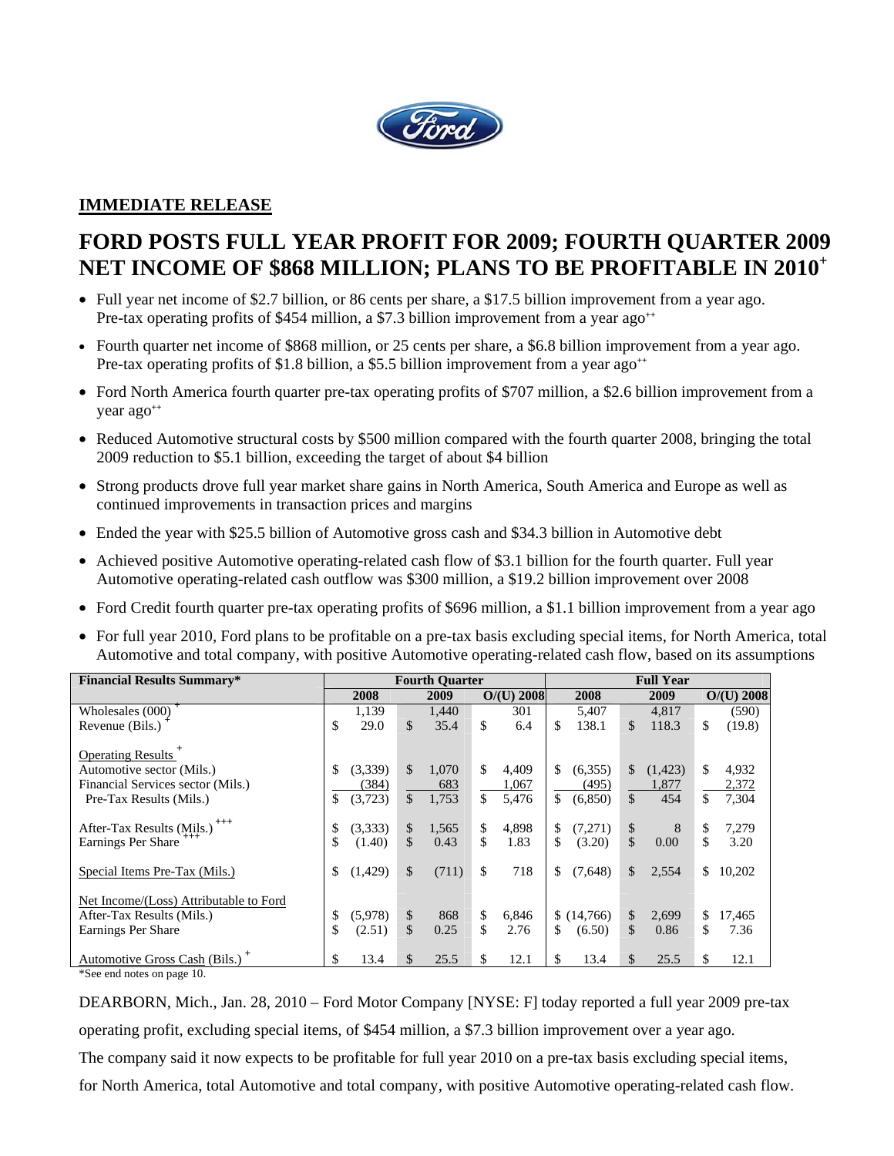

# **IMMEDIATE RELEASE**

# **FORD POSTS FULL YEAR PROFIT FOR 2009; FOURTH QUARTER 2009 NET INCOME OF \$868 MILLION; PLANS TO BE PROFITABLE IN 2010<sup>+</sup>**

- Full year net income of \$2.7 billion, or 86 cents per share, a \$17.5 billion improvement from a year ago. Pre-tax operating profits of \$454 million, a \$7.3 billion improvement from a year ago<sup>++</sup>
- Fourth quarter net income of \$868 million, or 25 cents per share, a \$6.8 billion improvement from a year ago. Pre-tax operating profits of \$1.8 billion, a \$5.5 billion improvement from a year ago<sup>++</sup>
- Ford North America fourth quarter pre-tax operating profits of \$707 million, a \$2.6 billion improvement from a year ago**++**
- Reduced Automotive structural costs by \$500 million compared with the fourth quarter 2008, bringing the total 2009 reduction to \$5.1 billion, exceeding the target of about \$4 billion
- Strong products drove full year market share gains in North America, South America and Europe as well as continued improvements in transaction prices and margins
- Ended the year with \$25.5 billion of Automotive gross cash and \$34.3 billion in Automotive debt
- Achieved positive Automotive operating-related cash flow of \$3.1 billion for the fourth quarter. Full year Automotive operating-related cash outflow was \$300 million, a \$19.2 billion improvement over 2008
- Ford Credit fourth quarter pre-tax operating profits of \$696 million, a \$1.1 billion improvement from a year ago
- For full year 2010, Ford plans to be profitable on a pre-tax basis excluding special items, for North America, total Automotive and total company, with positive Automotive operating-related cash flow, based on its assumptions

| <b>Financial Results Summary*</b>                                                                                           |          |                             |          | <b>Fourth Quarter</b> |          |                         | <b>Full Year</b> |                             |                               |                         |           |                         |
|-----------------------------------------------------------------------------------------------------------------------------|----------|-----------------------------|----------|-----------------------|----------|-------------------------|------------------|-----------------------------|-------------------------------|-------------------------|-----------|-------------------------|
|                                                                                                                             |          | 2008                        |          | 2009                  |          | $O/(U)$ 2008            |                  | 2008                        |                               | 2009                    |           | $O/(U)$ 2008            |
| Wholesales $(000)$ <sup>+</sup>                                                                                             |          | 1.139                       |          | 1.440                 |          | 301                     |                  | 5,407                       |                               | 4.817                   |           | (590)                   |
| Revenue (Bils.)                                                                                                             | \$       | 29.0                        | \$       | 35.4                  | \$       | 6.4                     | \$               | 138.1                       | \$                            | 118.3                   | \$        | (19.8)                  |
| Operating Results <sup>+</sup><br>Automotive sector (Mils.)<br>Financial Services sector (Mils.)<br>Pre-Tax Results (Mils.) | \$.      | (3,339)<br>(384)<br>(3,723) | \$<br>\$ | 1.070<br>683<br>1,753 | \$<br>\$ | 4,409<br>1,067<br>5,476 | \$<br>\$         | (6,355)<br>(495)<br>(6,850) | $\mathbb{S}$<br>$\mathcal{S}$ | (1,423)<br>1,877<br>454 | \$.<br>\$ | 4,932<br>2,372<br>7,304 |
| After-Tax Results (Mils.) <sup>+++</sup><br>Earnings Per Share <sup>++++</sup>                                              | \$<br>\$ | (3,333)<br>(1.40)           | \$<br>\$ | 1,565<br>0.43         | \$<br>\$ | 4,898<br>1.83           | \$<br>\$         | (7,271)<br>(3.20)           | \$<br>$\mathcal{S}$           | 8<br>0.00               | \$<br>\$  | 7,279<br>3.20           |
| Special Items Pre-Tax (Mils.)                                                                                               | \$       | (1,429)                     | \$       | (711)                 | \$       | 718                     | \$               | (7,648)                     | \$                            | 2,554                   | \$        | 10,202                  |
| Net Income/(Loss) Attributable to Ford<br>After-Tax Results (Mils.)<br>Earnings Per Share                                   | \$<br>\$ | (5,978)<br>(2.51)           | \$<br>\$ | 868<br>0.25           | \$<br>\$ | 6,846<br>2.76           | \$               | \$(14,766)<br>(6.50)        | $\mathbb{S}$<br>$\mathbb{S}$  | 2,699<br>0.86           | \$<br>\$  | 17,465<br>7.36          |
| Automotive Gross Cash (Bils.) <sup>+</sup>                                                                                  | \$       | 13.4                        | \$       | 25.5                  | \$       | 12.1                    | \$               | 13.4                        | \$                            | 25.5                    | \$.       | 12.1                    |

\*See end notes on page 10.

DEARBORN, Mich., Jan. 28, 2010 – Ford Motor Company [NYSE: F] today reported a full year 2009 pre-tax operating profit, excluding special items, of \$454 million, a \$7.3 billion improvement over a year ago.

The company said it now expects to be profitable for full year 2010 on a pre-tax basis excluding special items,

for North America, total Automotive and total company, with positive Automotive operating-related cash flow.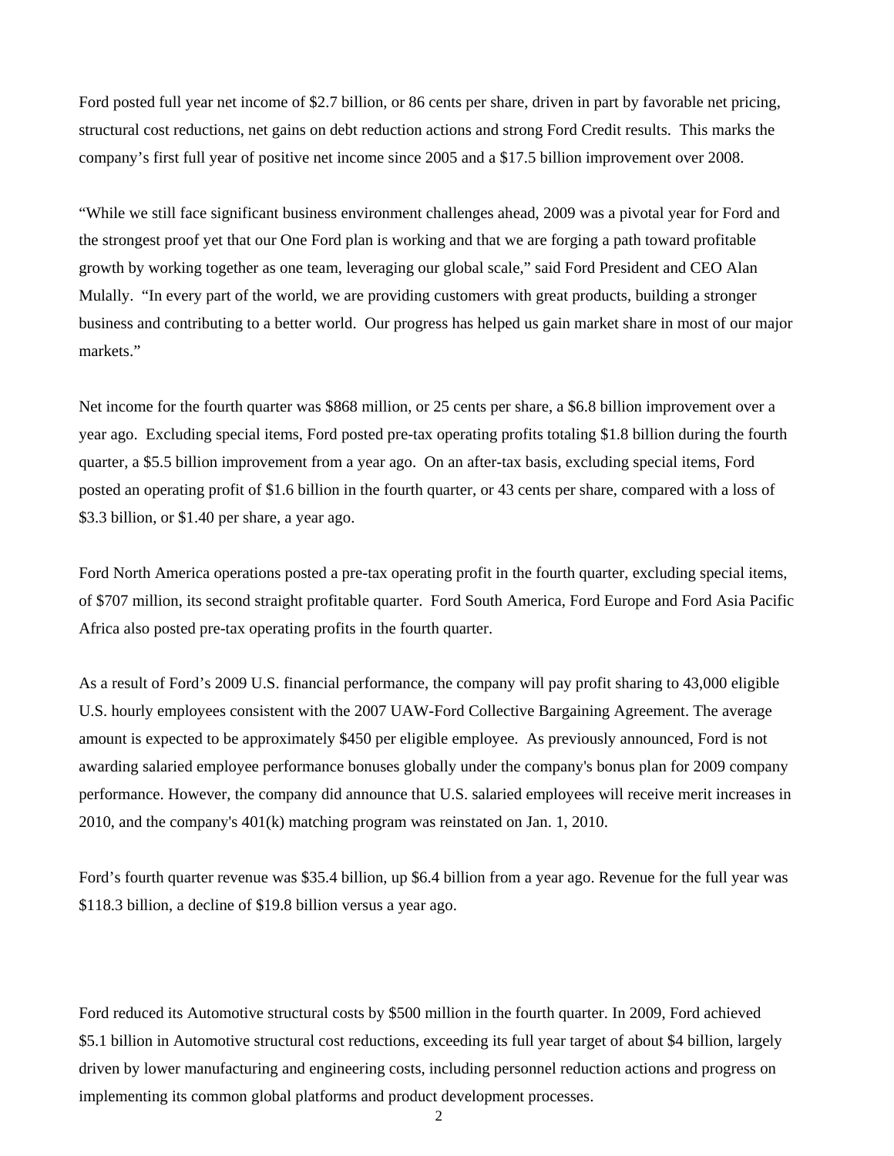Ford posted full year net income of \$2.7 billion, or 86 cents per share, driven in part by favorable net pricing, structural cost reductions, net gains on debt reduction actions and strong Ford Credit results. This marks the company's first full year of positive net income since 2005 and a \$17.5 billion improvement over 2008.

"While we still face significant business environment challenges ahead, 2009 was a pivotal year for Ford and the strongest proof yet that our One Ford plan is working and that we are forging a path toward profitable growth by working together as one team, leveraging our global scale," said Ford President and CEO Alan Mulally. "In every part of the world, we are providing customers with great products, building a stronger business and contributing to a better world. Our progress has helped us gain market share in most of our major markets."

Net income for the fourth quarter was \$868 million, or 25 cents per share, a \$6.8 billion improvement over a year ago. Excluding special items, Ford posted pre-tax operating profits totaling \$1.8 billion during the fourth quarter, a \$5.5 billion improvement from a year ago. On an after-tax basis, excluding special items, Ford posted an operating profit of \$1.6 billion in the fourth quarter, or 43 cents per share, compared with a loss of \$3.3 billion, or \$1.40 per share, a year ago.

Ford North America operations posted a pre-tax operating profit in the fourth quarter, excluding special items, of \$707 million, its second straight profitable quarter. Ford South America, Ford Europe and Ford Asia Pacific Africa also posted pre-tax operating profits in the fourth quarter.

As a result of Ford's 2009 U.S. financial performance, the company will pay profit sharing to 43,000 eligible U.S. hourly employees consistent with the 2007 UAW-Ford Collective Bargaining Agreement. The average amount is expected to be approximately \$450 per eligible employee. As previously announced, Ford is not awarding salaried employee performance bonuses globally under the company's bonus plan for 2009 company performance. However, the company did announce that U.S. salaried employees will receive merit increases in 2010, and the company's 401(k) matching program was reinstated on Jan. 1, 2010.

Ford's fourth quarter revenue was \$35.4 billion, up \$6.4 billion from a year ago. Revenue for the full year was \$118.3 billion, a decline of \$19.8 billion versus a year ago.

Ford reduced its Automotive structural costs by \$500 million in the fourth quarter. In 2009, Ford achieved \$5.1 billion in Automotive structural cost reductions, exceeding its full year target of about \$4 billion, largely driven by lower manufacturing and engineering costs, including personnel reduction actions and progress on implementing its common global platforms and product development processes.

2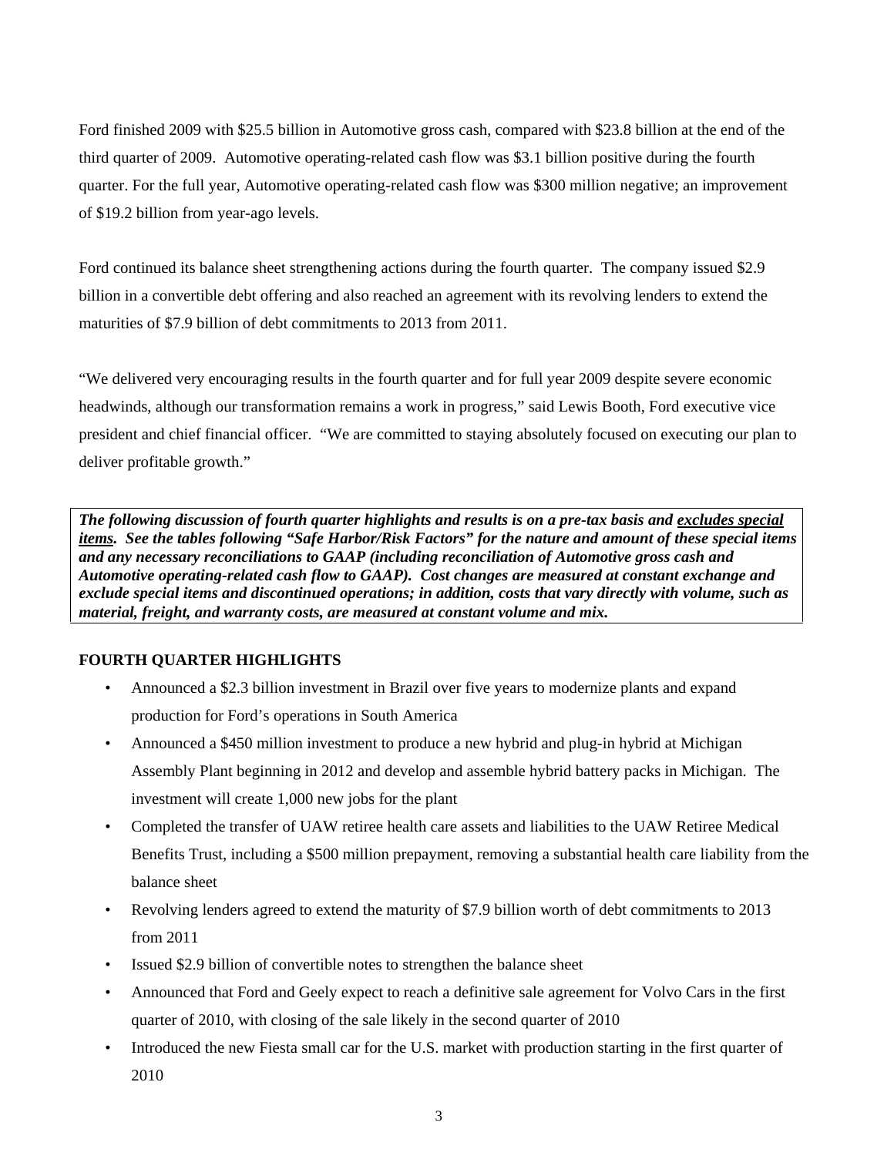Ford finished 2009 with \$25.5 billion in Automotive gross cash, compared with \$23.8 billion at the end of the third quarter of 2009. Automotive operating-related cash flow was \$3.1 billion positive during the fourth quarter. For the full year, Automotive operating-related cash flow was \$300 million negative; an improvement of \$19.2 billion from year-ago levels.

Ford continued its balance sheet strengthening actions during the fourth quarter. The company issued \$2.9 billion in a convertible debt offering and also reached an agreement with its revolving lenders to extend the maturities of \$7.9 billion of debt commitments to 2013 from 2011.

"We delivered very encouraging results in the fourth quarter and for full year 2009 despite severe economic headwinds, although our transformation remains a work in progress," said Lewis Booth, Ford executive vice president and chief financial officer. "We are committed to staying absolutely focused on executing our plan to deliver profitable growth."

*The following discussion of fourth quarter highlights and results is on a pre-tax basis and excludes special items. See the tables following "Safe Harbor/Risk Factors" for the nature and amount of these special items and any necessary reconciliations to GAAP (including reconciliation of Automotive gross cash and Automotive operating-related cash flow to GAAP). Cost changes are measured at constant exchange and exclude special items and discontinued operations; in addition, costs that vary directly with volume, such as material, freight, and warranty costs, are measured at constant volume and mix.* 

# **FOURTH QUARTER HIGHLIGHTS**

- Announced a \$2.3 billion investment in Brazil over five years to modernize plants and expand production for Ford's operations in South America
- Announced a \$450 million investment to produce a new hybrid and plug-in hybrid at Michigan Assembly Plant beginning in 2012 and develop and assemble hybrid battery packs in Michigan. The investment will create 1,000 new jobs for the plant
- Completed the transfer of UAW retiree health care assets and liabilities to the UAW Retiree Medical Benefits Trust, including a \$500 million prepayment, removing a substantial health care liability from the balance sheet
- Revolving lenders agreed to extend the maturity of \$7.9 billion worth of debt commitments to 2013 from 2011
- Issued \$2.9 billion of convertible notes to strengthen the balance sheet
- Announced that Ford and Geely expect to reach a definitive sale agreement for Volvo Cars in the first quarter of 2010, with closing of the sale likely in the second quarter of 2010
- Introduced the new Fiesta small car for the U.S. market with production starting in the first quarter of 2010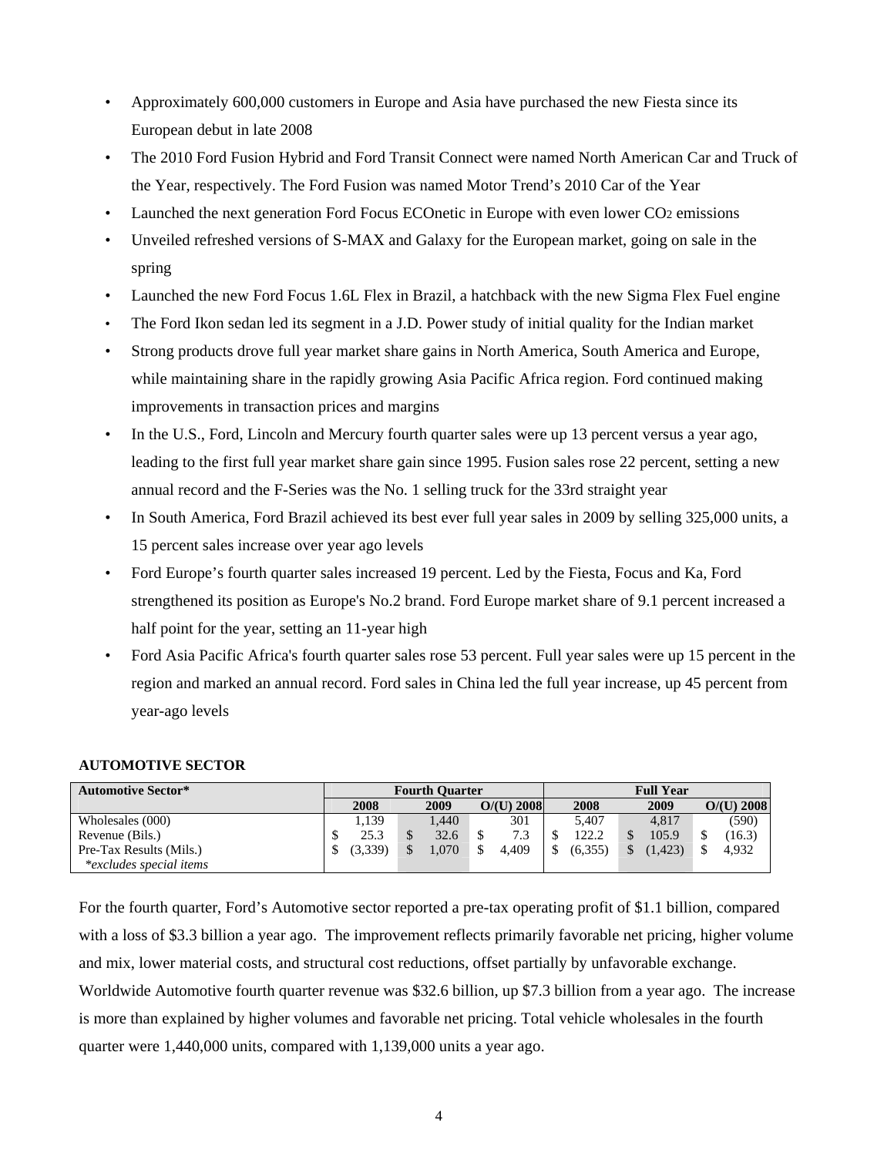- Approximately 600,000 customers in Europe and Asia have purchased the new Fiesta since its European debut in late 2008
- The 2010 Ford Fusion Hybrid and Ford Transit Connect were named North American Car and Truck of the Year, respectively. The Ford Fusion was named Motor Trend's 2010 Car of the Year
- Launched the next generation Ford Focus ECOnetic in Europe with even lower CO2 emissions
- Unveiled refreshed versions of S-MAX and Galaxy for the European market, going on sale in the spring
- Launched the new Ford Focus 1.6L Flex in Brazil, a hatchback with the new Sigma Flex Fuel engine
- The Ford Ikon sedan led its segment in a J.D. Power study of initial quality for the Indian market
- Strong products drove full year market share gains in North America, South America and Europe, while maintaining share in the rapidly growing Asia Pacific Africa region. Ford continued making improvements in transaction prices and margins
- In the U.S., Ford, Lincoln and Mercury fourth quarter sales were up 13 percent versus a year ago, leading to the first full year market share gain since 1995. Fusion sales rose 22 percent, setting a new annual record and the F-Series was the No. 1 selling truck for the 33rd straight year
- In South America, Ford Brazil achieved its best ever full year sales in 2009 by selling 325,000 units, a 15 percent sales increase over year ago levels
- Ford Europe's fourth quarter sales increased 19 percent. Led by the Fiesta, Focus and Ka, Ford strengthened its position as Europe's No.2 brand. Ford Europe market share of 9.1 percent increased a half point for the year, setting an 11-year high
- Ford Asia Pacific Africa's fourth quarter sales rose 53 percent. Full year sales were up 15 percent in the region and marked an annual record. Ford sales in China led the full year increase, up 45 percent from year-ago levels

### **AUTOMOTIVE SECTOR**

| <b>Automotive Sector*</b>      |         | <b>Fourth Ouarter</b> |              | <b>Full Year</b> |                          |              |  |  |  |
|--------------------------------|---------|-----------------------|--------------|------------------|--------------------------|--------------|--|--|--|
|                                | 2008    | 2009                  | $O/(U)$ 2008 | 2008             | 2009                     | $O/(U)$ 2008 |  |  |  |
| Wholesales (000)               | 1.139   | 1.440                 | 301          | 5.407            | 4.817                    | (590)        |  |  |  |
| Revenue (Bils.)                | 25.3    | \$<br>32.6            | 7.3          | 122.2            | 105.9                    | (16.3)       |  |  |  |
| Pre-Tax Results (Mils.)        | (3.339) | S<br>1.070            | 4.409        | (6.355)          | (1, 423)<br>$\mathbb{S}$ | 4.932        |  |  |  |
| <i>*excludes special items</i> |         |                       |              |                  |                          |              |  |  |  |

For the fourth quarter, Ford's Automotive sector reported a pre-tax operating profit of \$1.1 billion, compared with a loss of \$3.3 billion a year ago. The improvement reflects primarily favorable net pricing, higher volume and mix, lower material costs, and structural cost reductions, offset partially by unfavorable exchange. Worldwide Automotive fourth quarter revenue was \$32.6 billion, up \$7.3 billion from a year ago. The increase is more than explained by higher volumes and favorable net pricing. Total vehicle wholesales in the fourth quarter were 1,440,000 units, compared with 1,139,000 units a year ago.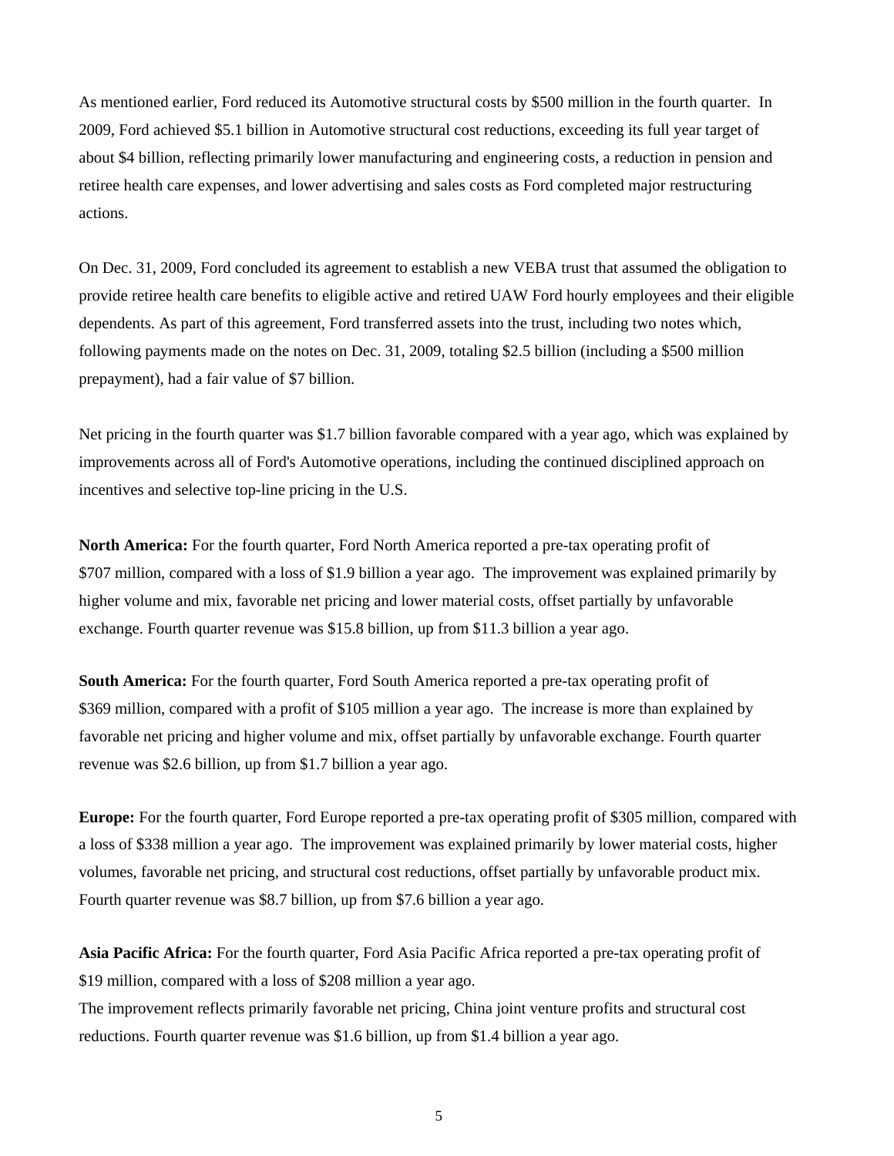As mentioned earlier, Ford reduced its Automotive structural costs by \$500 million in the fourth quarter. In 2009, Ford achieved \$5.1 billion in Automotive structural cost reductions, exceeding its full year target of about \$4 billion, reflecting primarily lower manufacturing and engineering costs, a reduction in pension and retiree health care expenses, and lower advertising and sales costs as Ford completed major restructuring actions.

On Dec. 31, 2009, Ford concluded its agreement to establish a new VEBA trust that assumed the obligation to provide retiree health care benefits to eligible active and retired UAW Ford hourly employees and their eligible dependents. As part of this agreement, Ford transferred assets into the trust, including two notes which, following payments made on the notes on Dec. 31, 2009, totaling \$2.5 billion (including a \$500 million prepayment), had a fair value of \$7 billion.

Net pricing in the fourth quarter was \$1.7 billion favorable compared with a year ago, which was explained by improvements across all of Ford's Automotive operations, including the continued disciplined approach on incentives and selective top-line pricing in the U.S.

**North America:** For the fourth quarter, Ford North America reported a pre-tax operating profit of \$707 million, compared with a loss of \$1.9 billion a year ago. The improvement was explained primarily by higher volume and mix, favorable net pricing and lower material costs, offset partially by unfavorable exchange. Fourth quarter revenue was \$15.8 billion, up from \$11.3 billion a year ago.

**South America:** For the fourth quarter, Ford South America reported a pre-tax operating profit of \$369 million, compared with a profit of \$105 million a year ago. The increase is more than explained by favorable net pricing and higher volume and mix, offset partially by unfavorable exchange. Fourth quarter revenue was \$2.6 billion, up from \$1.7 billion a year ago.

**Europe:** For the fourth quarter, Ford Europe reported a pre-tax operating profit of \$305 million, compared with a loss of \$338 million a year ago. The improvement was explained primarily by lower material costs, higher volumes, favorable net pricing, and structural cost reductions, offset partially by unfavorable product mix. Fourth quarter revenue was \$8.7 billion, up from \$7.6 billion a year ago.

**Asia Pacific Africa:** For the fourth quarter, Ford Asia Pacific Africa reported a pre-tax operating profit of \$19 million, compared with a loss of \$208 million a year ago.

The improvement reflects primarily favorable net pricing, China joint venture profits and structural cost reductions. Fourth quarter revenue was \$1.6 billion, up from \$1.4 billion a year ago.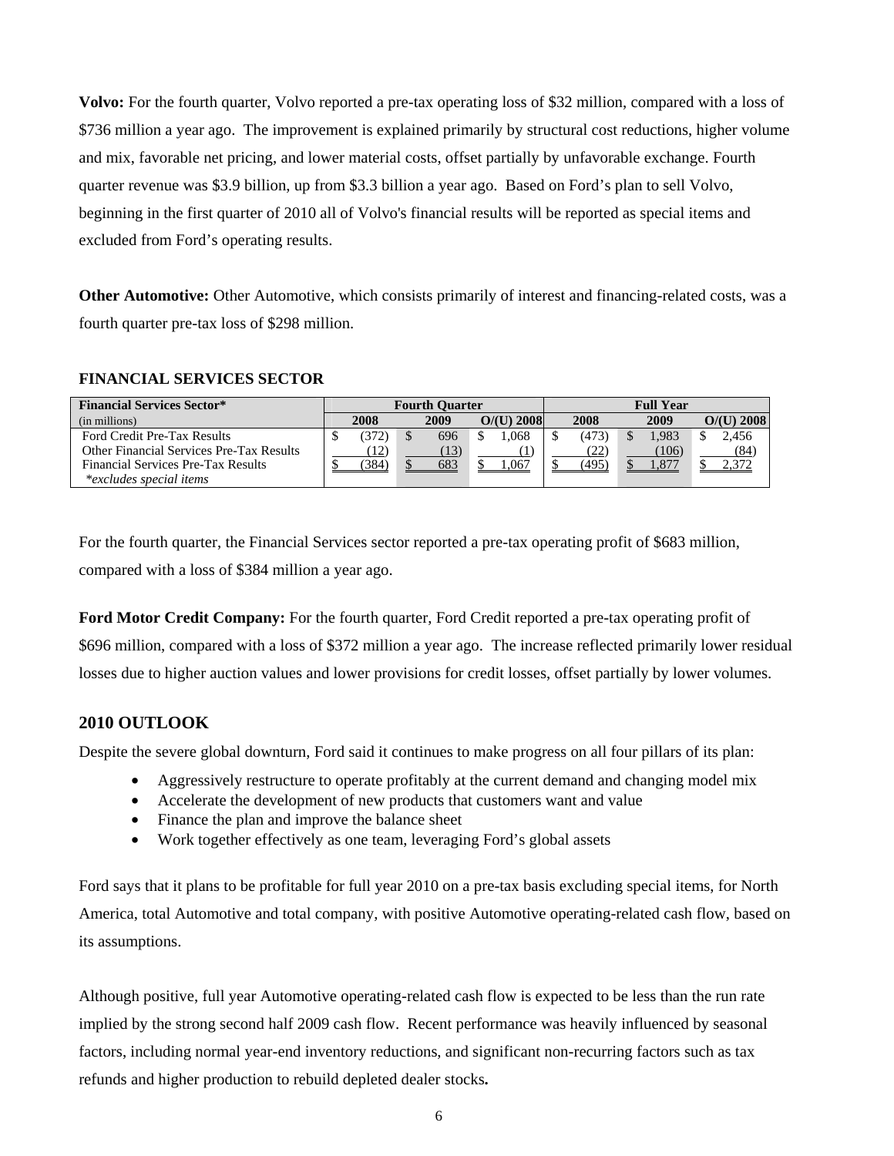**Volvo:** For the fourth quarter, Volvo reported a pre-tax operating loss of \$32 million, compared with a loss of \$736 million a year ago. The improvement is explained primarily by structural cost reductions, higher volume and mix, favorable net pricing, and lower material costs, offset partially by unfavorable exchange. Fourth quarter revenue was \$3.9 billion, up from \$3.3 billion a year ago. Based on Ford's plan to sell Volvo, beginning in the first quarter of 2010 all of Volvo's financial results will be reported as special items and excluded from Ford's operating results.

**Other Automotive:** Other Automotive, which consists primarily of interest and financing-related costs, was a fourth quarter pre-tax loss of \$298 million.

# **FINANCIAL SERVICES SECTOR**

| <b>Financial Services Sector*</b>        | <b>Fourth Ouarter</b> |       |  |      | <b>Full Year</b> |  |       |  |      |  |              |
|------------------------------------------|-----------------------|-------|--|------|------------------|--|-------|--|------|--|--------------|
| (in millions)                            |                       | 2008  |  | 2009 | $O/(U)$ 2008     |  | 2008  |  | 2009 |  | $O/(U)$ 2008 |
| Ford Credit Pre-Tax Results              |                       | (372) |  | 696  | .068             |  | (473) |  | .983 |  | 2.456        |
| Other Financial Services Pre-Tax Results |                       | 12)   |  |      |                  |  | (22)  |  | 106  |  | (84)         |
| Financial Services Pre-Tax Results       |                       | 384   |  | 683  | .067             |  | (495) |  |      |  |              |
| <i>*excludes special items</i>           |                       |       |  |      |                  |  |       |  |      |  |              |

For the fourth quarter, the Financial Services sector reported a pre-tax operating profit of \$683 million, compared with a loss of \$384 million a year ago.

**Ford Motor Credit Company:** For the fourth quarter, Ford Credit reported a pre-tax operating profit of \$696 million, compared with a loss of \$372 million a year ago. The increase reflected primarily lower residual losses due to higher auction values and lower provisions for credit losses, offset partially by lower volumes.

# **2010 OUTLOOK**

Despite the severe global downturn, Ford said it continues to make progress on all four pillars of its plan:

- Aggressively restructure to operate profitably at the current demand and changing model mix
- Accelerate the development of new products that customers want and value
- Finance the plan and improve the balance sheet
- Work together effectively as one team, leveraging Ford's global assets

Ford says that it plans to be profitable for full year 2010 on a pre-tax basis excluding special items, for North America, total Automotive and total company, with positive Automotive operating-related cash flow, based on its assumptions.

Although positive, full year Automotive operating-related cash flow is expected to be less than the run rate implied by the strong second half 2009 cash flow. Recent performance was heavily influenced by seasonal factors, including normal year-end inventory reductions, and significant non-recurring factors such as tax refunds and higher production to rebuild depleted dealer stocks**.**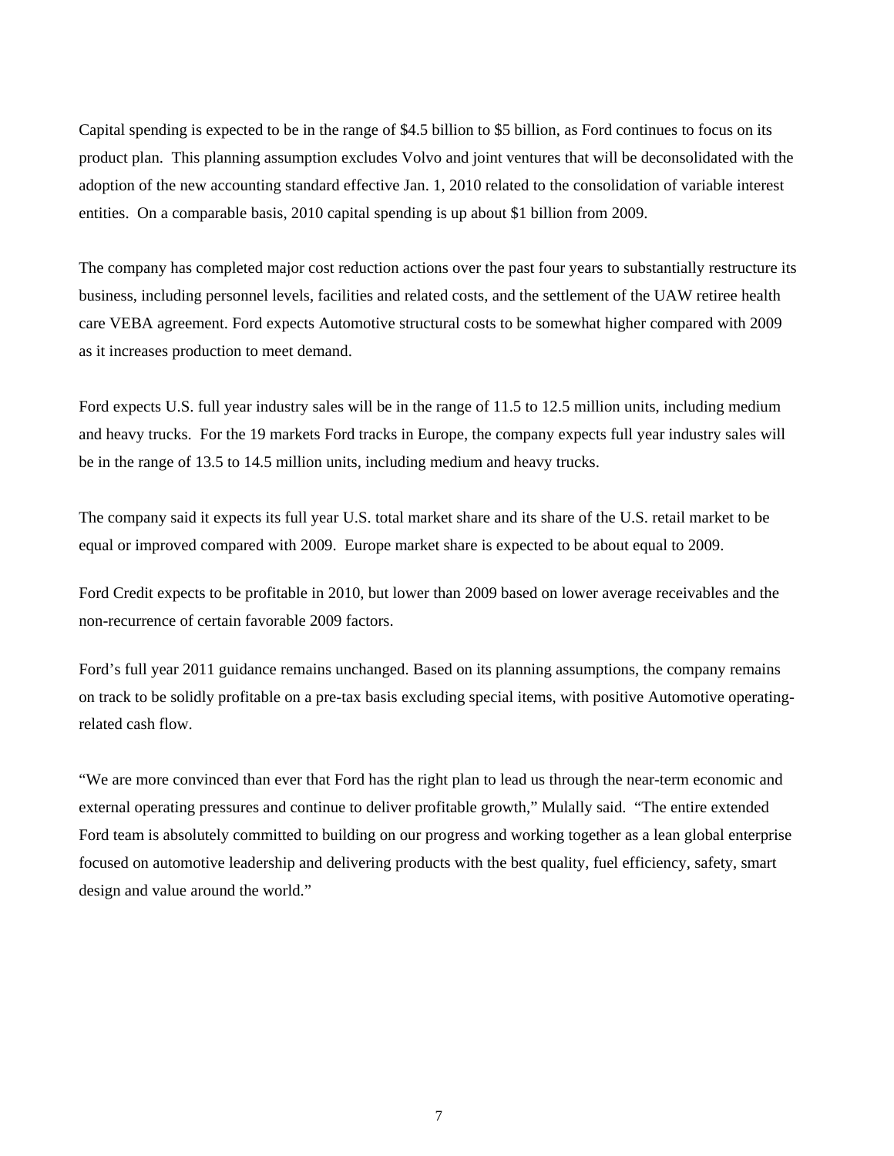Capital spending is expected to be in the range of \$4.5 billion to \$5 billion, as Ford continues to focus on its product plan. This planning assumption excludes Volvo and joint ventures that will be deconsolidated with the adoption of the new accounting standard effective Jan. 1, 2010 related to the consolidation of variable interest entities. On a comparable basis, 2010 capital spending is up about \$1 billion from 2009.

The company has completed major cost reduction actions over the past four years to substantially restructure its business, including personnel levels, facilities and related costs, and the settlement of the UAW retiree health care VEBA agreement. Ford expects Automotive structural costs to be somewhat higher compared with 2009 as it increases production to meet demand.

Ford expects U.S. full year industry sales will be in the range of 11.5 to 12.5 million units, including medium and heavy trucks. For the 19 markets Ford tracks in Europe, the company expects full year industry sales will be in the range of 13.5 to 14.5 million units, including medium and heavy trucks.

The company said it expects its full year U.S. total market share and its share of the U.S. retail market to be equal or improved compared with 2009. Europe market share is expected to be about equal to 2009.

Ford Credit expects to be profitable in 2010, but lower than 2009 based on lower average receivables and the non-recurrence of certain favorable 2009 factors.

Ford's full year 2011 guidance remains unchanged. Based on its planning assumptions, the company remains on track to be solidly profitable on a pre-tax basis excluding special items, with positive Automotive operatingrelated cash flow.

"We are more convinced than ever that Ford has the right plan to lead us through the near-term economic and external operating pressures and continue to deliver profitable growth," Mulally said. "The entire extended Ford team is absolutely committed to building on our progress and working together as a lean global enterprise focused on automotive leadership and delivering products with the best quality, fuel efficiency, safety, smart design and value around the world."

7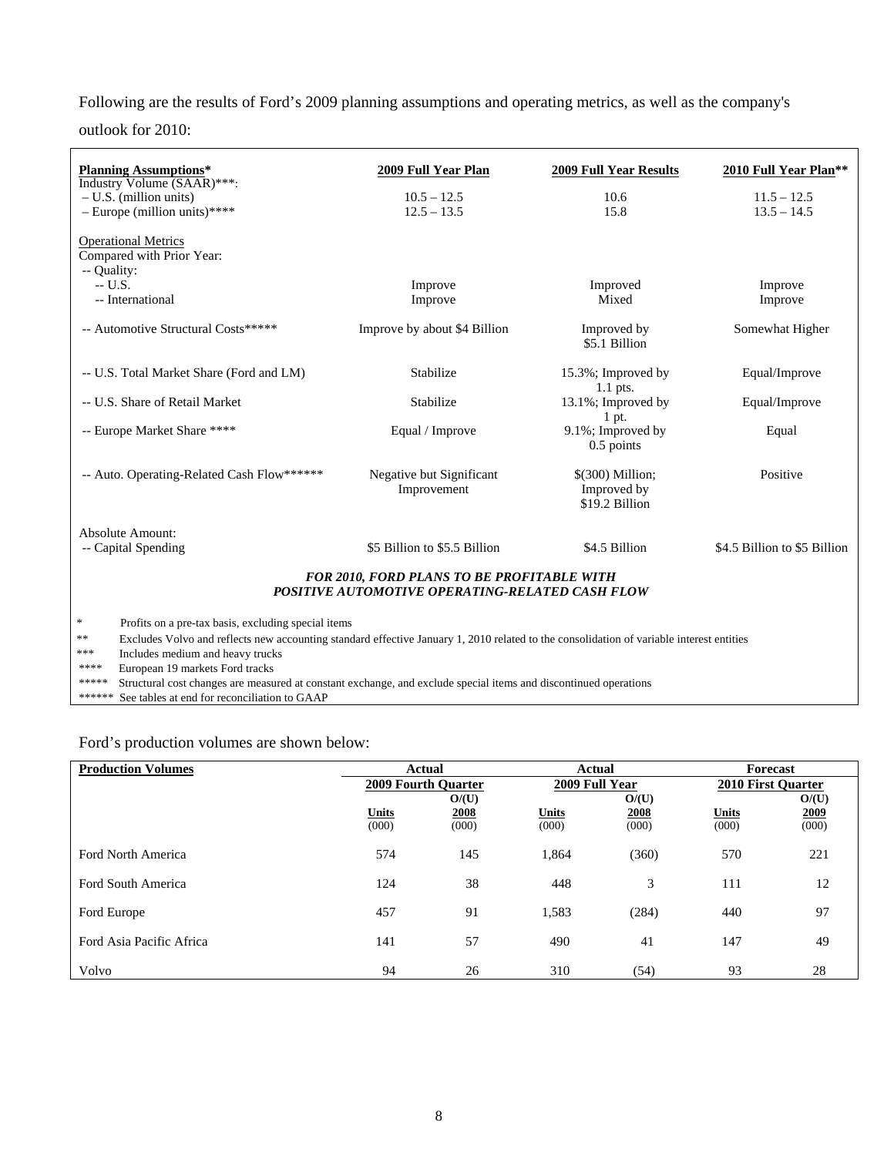Following are the results of Ford's 2009 planning assumptions and operating metrics, as well as the company's

outlook for 2010:

| <b>Planning Assumptions*</b><br>Industry Volume (SAAR)***:                                                                                     | 2009 Full Year Plan                     | <b>2009 Full Year Results</b>                      | 2010 Full Year Plan**        |  |  |  |  |  |
|------------------------------------------------------------------------------------------------------------------------------------------------|-----------------------------------------|----------------------------------------------------|------------------------------|--|--|--|--|--|
| $- U.S.$ (million units)                                                                                                                       | $10.5 - 12.5$                           | 10.6                                               | $11.5 - 12.5$                |  |  |  |  |  |
| - Europe (million units)****                                                                                                                   | $12.5 - 13.5$                           | 15.8                                               | $13.5 - 14.5$                |  |  |  |  |  |
|                                                                                                                                                |                                         |                                                    |                              |  |  |  |  |  |
| <b>Operational Metrics</b><br>Compared with Prior Year:                                                                                        |                                         |                                                    |                              |  |  |  |  |  |
| -- Quality:                                                                                                                                    |                                         |                                                    |                              |  |  |  |  |  |
| $-$ U.S.                                                                                                                                       | Improve                                 | Improved                                           | Improve                      |  |  |  |  |  |
| -- International                                                                                                                               | Improve                                 | Mixed                                              | Improve                      |  |  |  |  |  |
| -- Automotive Structural Costs*****                                                                                                            | Improve by about \$4 Billion            | Improved by<br>\$5.1 Billion                       | Somewhat Higher              |  |  |  |  |  |
| -- U.S. Total Market Share (Ford and LM)                                                                                                       | Stabilize                               | 15.3%; Improved by<br>$1.1$ pts.                   | Equal/Improve                |  |  |  |  |  |
| -- U.S. Share of Retail Market                                                                                                                 | Stabilize                               | 13.1%; Improved by<br>$1$ pt.                      | Equal/Improve                |  |  |  |  |  |
| -- Europe Market Share ****                                                                                                                    | Equal / Improve                         | 9.1%; Improved by<br>0.5 points                    | Equal                        |  |  |  |  |  |
| -- Auto. Operating-Related Cash Flow******                                                                                                     | Negative but Significant<br>Improvement | $$(300)$ Million;<br>Improved by<br>\$19.2 Billion | Positive                     |  |  |  |  |  |
| Absolute Amount:                                                                                                                               |                                         |                                                    |                              |  |  |  |  |  |
| -- Capital Spending                                                                                                                            | \$5 Billion to \$5.5 Billion            | \$4.5 Billion                                      | \$4.5 Billion to \$5 Billion |  |  |  |  |  |
| <b>FOR 2010, FORD PLANS TO BE PROFITABLE WITH</b><br>POSITIVE AUTOMOTIVE OPERATING-RELATED CASH FLOW                                           |                                         |                                                    |                              |  |  |  |  |  |
| $\ast$<br>Profits on a pre-tax basis, excluding special items                                                                                  |                                         |                                                    |                              |  |  |  |  |  |
| **<br>Excludes Volvo and reflects new accounting standard effective January 1, 2010 related to the consolidation of variable interest entities |                                         |                                                    |                              |  |  |  |  |  |
| ***<br>Includes medium and heavy trucks                                                                                                        |                                         |                                                    |                              |  |  |  |  |  |
| ****<br>European 19 markets Ford tracks                                                                                                        |                                         |                                                    |                              |  |  |  |  |  |
| *****<br>Structural cost changes are measured at constant exchange, and exclude special items and discontinued operations                      |                                         |                                                    |                              |  |  |  |  |  |
| ******<br>See tables at end for reconciliation to GAAP                                                                                         |                                         |                                                    |                              |  |  |  |  |  |

Ford's production volumes are shown below:

| <b>Production Volumes</b> |                       | Actual                     | Actual                |                | Forecast                  |               |  |
|---------------------------|-----------------------|----------------------------|-----------------------|----------------|---------------------------|---------------|--|
|                           |                       | <b>2009 Fourth Ouarter</b> |                       | 2009 Full Year | <b>2010 First Quarter</b> |               |  |
|                           |                       | O/(U)                      |                       | O/(U)          |                           | O/(U)         |  |
|                           | <b>Units</b><br>(000) | 2008<br>(000)              | <b>Units</b><br>(000) | 2008<br>(000)  | <b>Units</b><br>(000)     | 2009<br>(000) |  |
| Ford North America        | 574                   | 145                        | 1,864                 | (360)          | 570                       | 221           |  |
| Ford South America        | 124                   | 38                         | 448                   | 3              | 111                       | 12            |  |
| Ford Europe               | 457                   | 91                         | 1,583                 | (284)          | 440                       | 97            |  |
| Ford Asia Pacific Africa  | 141                   | 57                         | 490                   | 41             | 147                       | 49            |  |
| Volvo                     | 94                    | 26                         | 310                   | (54)           | 93                        | 28            |  |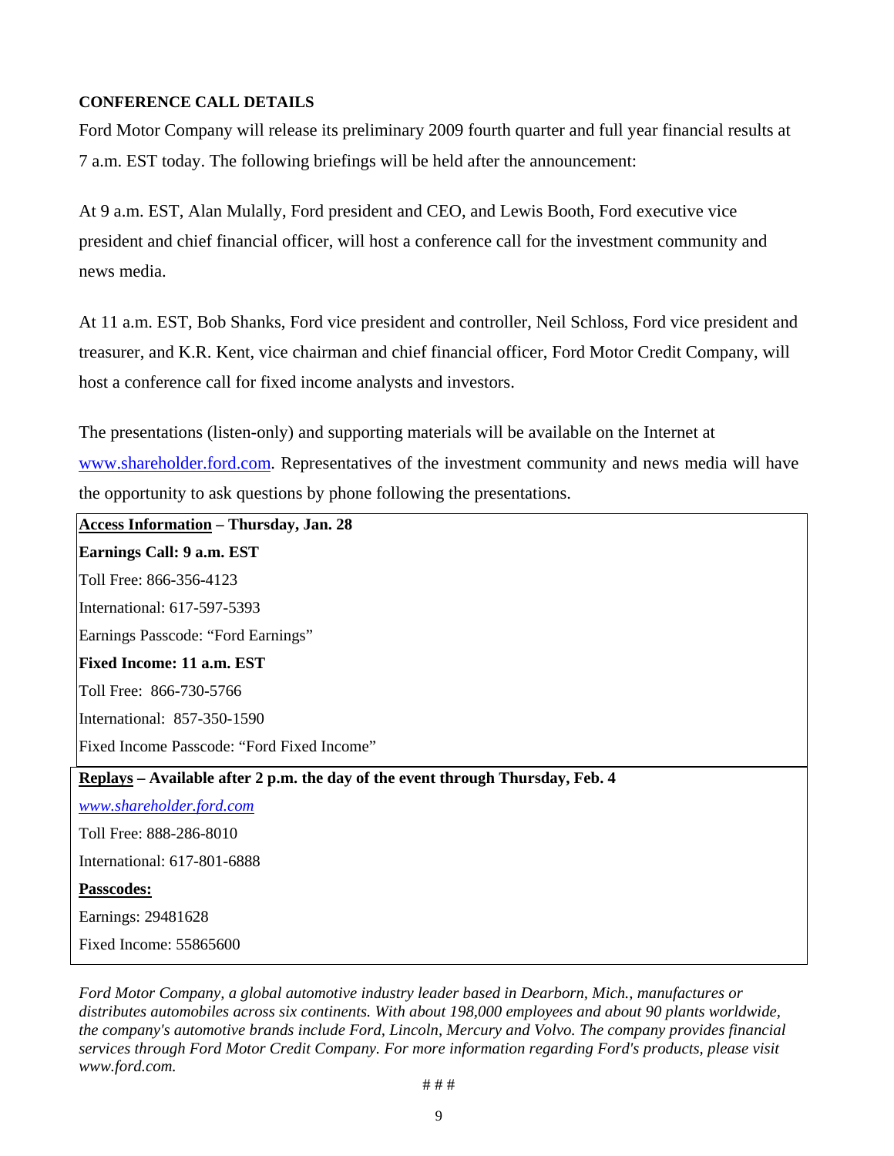# **CONFERENCE CALL DETAILS**

Ford Motor Company will release its preliminary 2009 fourth quarter and full year financial results at 7 a.m. EST today. The following briefings will be held after the announcement:

At 9 a.m. EST, Alan Mulally, Ford president and CEO, and Lewis Booth, Ford executive vice president and chief financial officer, will host a conference call for the investment community and news media.

At 11 a.m. EST, Bob Shanks, Ford vice president and controller, Neil Schloss, Ford vice president and treasurer, and K.R. Kent, vice chairman and chief financial officer, Ford Motor Credit Company, will host a conference call for fixed income analysts and investors.

The presentations (listen-only) and supporting materials will be available on the Internet at www.shareholder.ford.com. Representatives of the investment community and news media will have the opportunity to ask questions by phone following the presentations.

**Access Information – Thursday, Jan. 28 Earnings Call: 9 a.m. EST**  Toll Free: 866-356-4123 International: 617-597-5393 Earnings Passcode: "Ford Earnings" **Fixed Income: 11 a.m. EST**  Toll Free: 866-730-5766 International: 857-350-1590 Fixed Income Passcode: "Ford Fixed Income" **Replays – Available after 2 p.m. the day of the event through Thursday, Feb. 4**  *www.shareholder.ford.com* Toll Free: 888-286-8010 International: 617-801-6888 **Passcodes:** Earnings: 29481628 Fixed Income: 55865600

*Ford Motor Company, a global automotive industry leader based in Dearborn, Mich., manufactures or distributes automobiles across six continents. With about 198,000 employees and about 90 plants worldwide, the company's automotive brands include Ford, Lincoln, Mercury and Volvo. The company provides financial services through Ford Motor Credit Company. For more information regarding Ford's products, please visit www.ford.com.*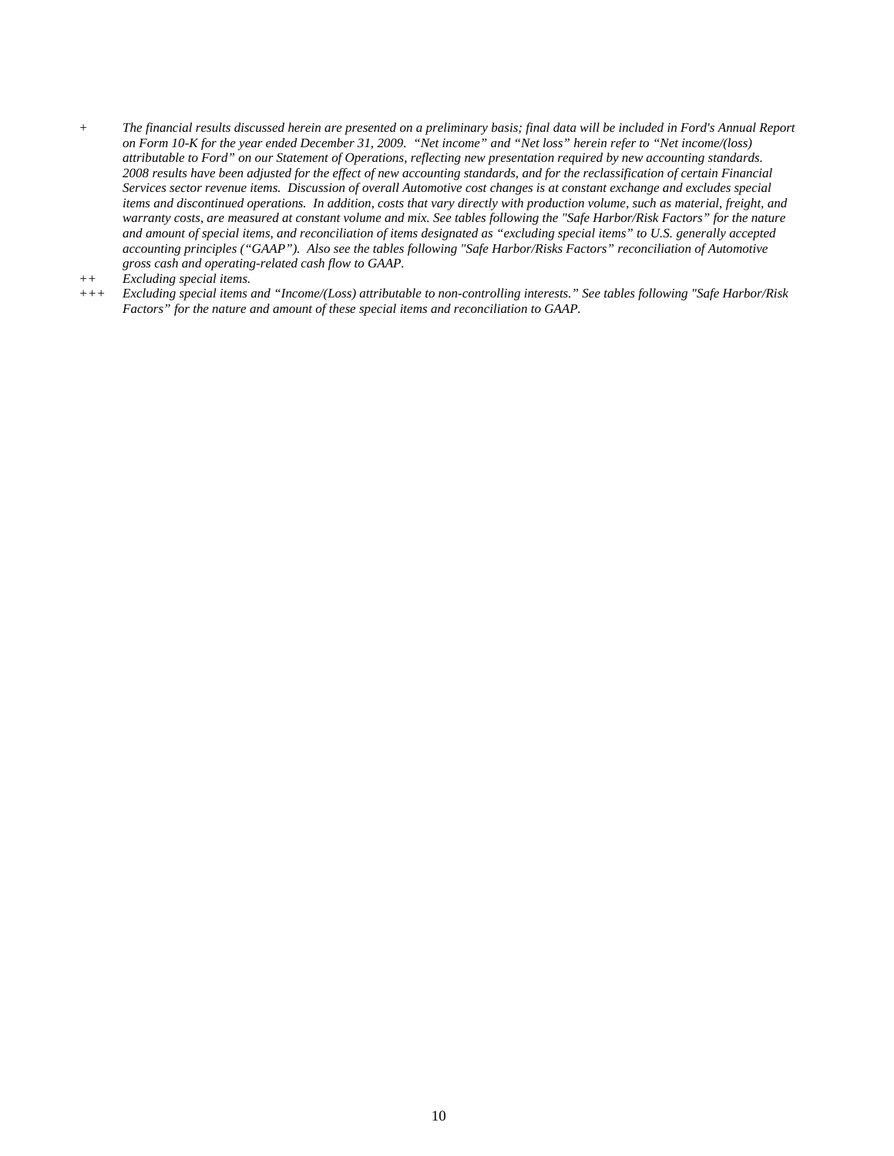*+ The financial results discussed herein are presented on a preliminary basis; final data will be included in Ford's Annual Report on Form 10-K for the year ended December 31, 2009. "Net income" and "Net loss" herein refer to "Net income/(loss) attributable to Ford" on our Statement of Operations, reflecting new presentation required by new accounting standards. 2008 results have been adjusted for the effect of new accounting standards, and for the reclassification of certain Financial Services sector revenue items. Discussion of overall Automotive cost changes is at constant exchange and excludes special items and discontinued operations. In addition, costs that vary directly with production volume, such as material, freight, and warranty costs, are measured at constant volume and mix. See tables following the "Safe Harbor/Risk Factors" for the nature and amount of special items, and reconciliation of items designated as "excluding special items" to U.S. generally accepted accounting principles ("GAAP"). Also see the tables following "Safe Harbor/Risks Factors" reconciliation of Automotive gross cash and operating-related cash flow to GAAP.* 

*+++ Excluding special items and "Income/(Loss) attributable to non-controlling interests." See tables following "Safe Harbor/Risk Factors" for the nature and amount of these special items and reconciliation to GAAP.* 

*<sup>++</sup> Excluding special items.*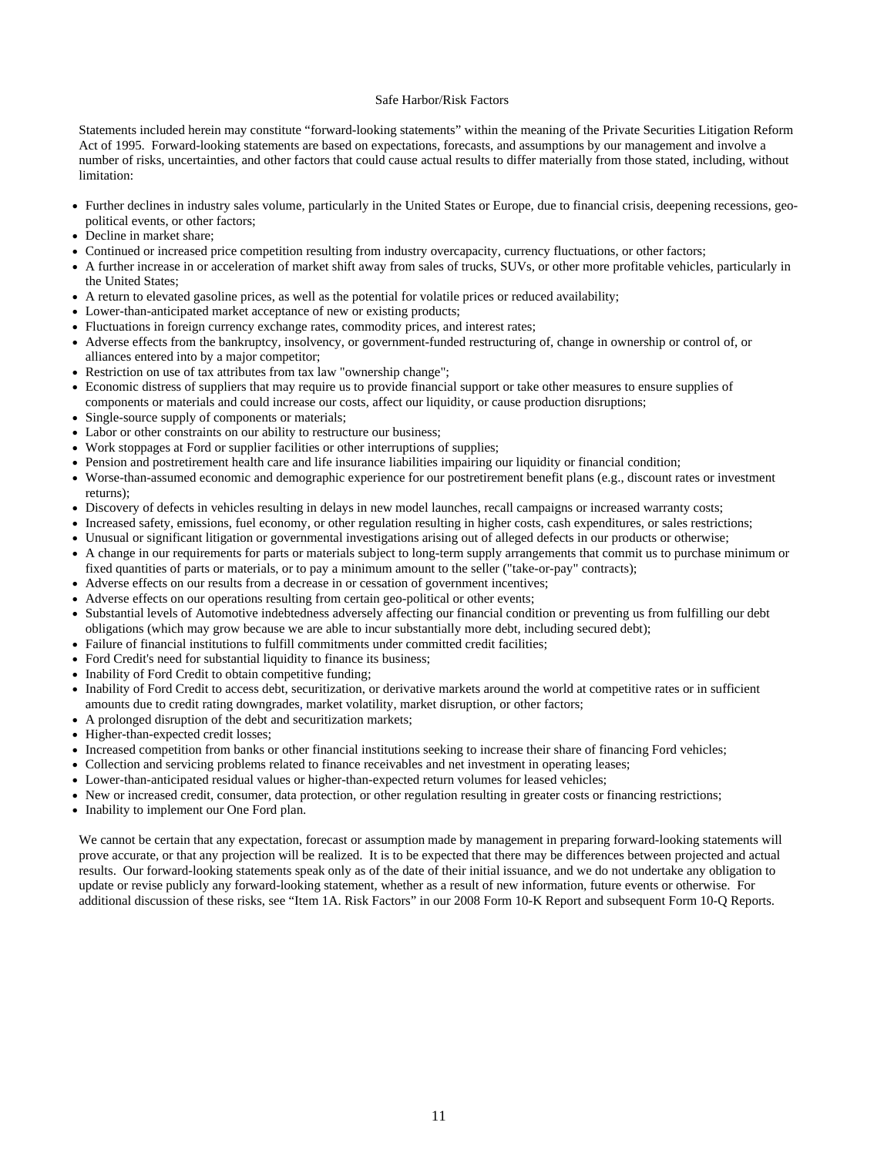#### Safe Harbor/Risk Factors

Statements included herein may constitute "forward-looking statements" within the meaning of the Private Securities Litigation Reform Act of 1995. Forward-looking statements are based on expectations, forecasts, and assumptions by our management and involve a number of risks, uncertainties, and other factors that could cause actual results to differ materially from those stated, including, without limitation:

- Further declines in industry sales volume, particularly in the United States or Europe, due to financial crisis, deepening recessions, geopolitical events, or other factors;
- Decline in market share;
- Continued or increased price competition resulting from industry overcapacity, currency fluctuations, or other factors;
- A further increase in or acceleration of market shift away from sales of trucks, SUVs, or other more profitable vehicles, particularly in the United States;
- A return to elevated gasoline prices, as well as the potential for volatile prices or reduced availability;
- Lower-than-anticipated market acceptance of new or existing products;
- Fluctuations in foreign currency exchange rates, commodity prices, and interest rates;
- Adverse effects from the bankruptcy, insolvency, or government-funded restructuring of, change in ownership or control of, or alliances entered into by a major competitor;
- Restriction on use of tax attributes from tax law "ownership change";
- Economic distress of suppliers that may require us to provide financial support or take other measures to ensure supplies of components or materials and could increase our costs, affect our liquidity, or cause production disruptions;
- Single-source supply of components or materials;
- Labor or other constraints on our ability to restructure our business;
- Work stoppages at Ford or supplier facilities or other interruptions of supplies;
- Pension and postretirement health care and life insurance liabilities impairing our liquidity or financial condition;
- Worse-than-assumed economic and demographic experience for our postretirement benefit plans (e.g., discount rates or investment returns);
- Discovery of defects in vehicles resulting in delays in new model launches, recall campaigns or increased warranty costs;
- Increased safety, emissions, fuel economy, or other regulation resulting in higher costs, cash expenditures, or sales restrictions;
- Unusual or significant litigation or governmental investigations arising out of alleged defects in our products or otherwise;
- A change in our requirements for parts or materials subject to long-term supply arrangements that commit us to purchase minimum or fixed quantities of parts or materials, or to pay a minimum amount to the seller ("take-or-pay" contracts);
- Adverse effects on our results from a decrease in or cessation of government incentives;
- Adverse effects on our operations resulting from certain geo-political or other events;
- Substantial levels of Automotive indebtedness adversely affecting our financial condition or preventing us from fulfilling our debt obligations (which may grow because we are able to incur substantially more debt, including secured debt);
- Failure of financial institutions to fulfill commitments under committed credit facilities;
- Ford Credit's need for substantial liquidity to finance its business;
- Inability of Ford Credit to obtain competitive funding;
- Inability of Ford Credit to access debt, securitization, or derivative markets around the world at competitive rates or in sufficient amounts due to credit rating downgrades, market volatility, market disruption, or other factors;
- A prolonged disruption of the debt and securitization markets;
- Higher-than-expected credit losses;
- Increased competition from banks or other financial institutions seeking to increase their share of financing Ford vehicles;
- Collection and servicing problems related to finance receivables and net investment in operating leases;
- Lower-than-anticipated residual values or higher-than-expected return volumes for leased vehicles;
- New or increased credit, consumer, data protection, or other regulation resulting in greater costs or financing restrictions;
- Inability to implement our One Ford plan.

We cannot be certain that any expectation, forecast or assumption made by management in preparing forward-looking statements will prove accurate, or that any projection will be realized. It is to be expected that there may be differences between projected and actual results. Our forward-looking statements speak only as of the date of their initial issuance, and we do not undertake any obligation to update or revise publicly any forward-looking statement, whether as a result of new information, future events or otherwise. For additional discussion of these risks, see "Item 1A. Risk Factors" in our 2008 Form 10-K Report and subsequent Form 10-Q Reports.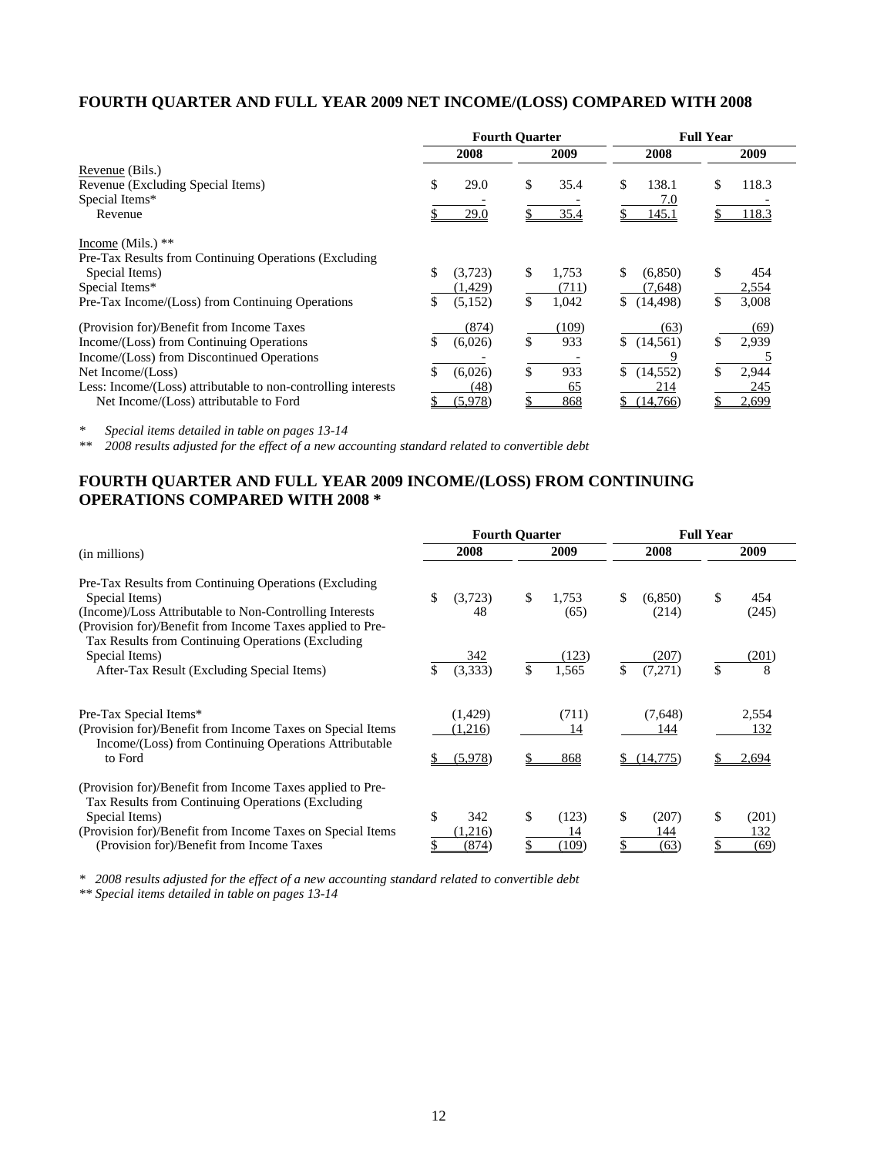### **FOURTH QUARTER AND FULL YEAR 2009 NET INCOME/(LOSS) COMPARED WITH 2008**

|                                                               | <b>Fourth Quarter</b> |          |    | <b>Full Year</b> |                 |    |       |
|---------------------------------------------------------------|-----------------------|----------|----|------------------|-----------------|----|-------|
|                                                               |                       | 2008     |    | 2009             | 2008            |    | 2009  |
| Revenue (Bils.)                                               |                       |          |    |                  |                 |    |       |
| Revenue (Excluding Special Items)                             | \$                    | 29.0     | \$ | 35.4             | \$<br>138.1     | \$ | 118.3 |
| Special Items*                                                |                       |          |    |                  | 7.0             |    |       |
| Revenue                                                       |                       | 29.0     |    | 35.4             | 145.1           |    | 118.3 |
| Income (Mils.) $**$                                           |                       |          |    |                  |                 |    |       |
| Pre-Tax Results from Continuing Operations (Excluding)        |                       |          |    |                  |                 |    |       |
| Special Items)                                                | \$                    | (3,723)  | \$ | 1.753            | \$<br>(6,850)   | \$ | 454   |
| Special Items*                                                |                       | (1, 429) |    | (711)            | (7,648)         |    | 2,554 |
| Pre-Tax Income/(Loss) from Continuing Operations              | \$                    | (5,152)  | \$ | 1,042            | \$<br>(14, 498) | \$ | 3,008 |
| (Provision for)/Benefit from Income Taxes                     |                       | (874)    |    | (109)            | (63)            |    | (69)  |
| Income/(Loss) from Continuing Operations                      | \$                    | (6,026)  |    | 933              | \$(14,561)      | \$ | 2,939 |
| Income/(Loss) from Discontinued Operations                    |                       |          |    |                  |                 |    |       |
| Net Income/(Loss)                                             |                       | (6,026)  |    | 933              | \$<br>(14, 552) | \$ | 2,944 |
| Less: Income/(Loss) attributable to non-controlling interests |                       | (48)     |    | 65               | 214             |    | 245   |
| Net Income/(Loss) attributable to Ford                        |                       | (5,978)  |    | 868              | (14,766)        |    | 2,699 |

*\* Special items detailed in table on pages 13-14* 

*\*\* 2008 results adjusted for the effect of a new accounting standard related to convertible debt* 

## **FOURTH QUARTER AND FULL YEAR 2009 INCOME/(LOSS) FROM CONTINUING OPERATIONS COMPARED WITH 2008 \***

|                                                                                                                                                                                                                                              |                                | <b>Fourth Quarter</b>       | <b>Full Year</b>           |                            |  |  |  |
|----------------------------------------------------------------------------------------------------------------------------------------------------------------------------------------------------------------------------------------------|--------------------------------|-----------------------------|----------------------------|----------------------------|--|--|--|
| (in millions)                                                                                                                                                                                                                                | 2008                           | 2009                        | 2008                       | 2009                       |  |  |  |
| Pre-Tax Results from Continuing Operations (Excluding)<br>Special Items)<br>(Income)/Loss Attributable to Non-Controlling Interests<br>(Provision for)/Benefit from Income Taxes applied to Pre-                                             | (3,723)<br>\$.<br>48           | \$<br>1,753<br>(65)         | \$<br>(6,850)<br>(214)     | \$<br>454<br>(245)         |  |  |  |
| Tax Results from Continuing Operations (Excluding)<br>Special Items)<br>After-Tax Result (Excluding Special Items)                                                                                                                           | 342<br>(3,333)                 | (123)<br>\$<br>1,565        | (207)<br>\$<br>(7,271)     | (201)<br>\$<br>8           |  |  |  |
| Pre-Tax Special Items*<br>(Provision for)/Benefit from Income Taxes on Special Items<br>Income/(Loss) from Continuing Operations Attributable<br>to Ford                                                                                     | (1, 429)<br>(1,216)<br>(5,978) | (711)<br>14<br>868          | (7,648)<br>144<br>(14,775) | 2,554<br>132<br>2,694      |  |  |  |
| (Provision for)/Benefit from Income Taxes applied to Pre-<br>Tax Results from Continuing Operations (Excluding)<br>Special Items)<br>(Provision for)/Benefit from Income Taxes on Special Items<br>(Provision for)/Benefit from Income Taxes | \$<br>342<br>(1,216)<br>(874)  | \$.<br>(123)<br>14<br>(109) | \$<br>(207)<br>144<br>(63) | \$<br>(201)<br>132<br>(69) |  |  |  |

*\* 2008 results adjusted for the effect of a new accounting standard related to convertible debt* 

*\*\* Special items detailed in table on pages 13-14*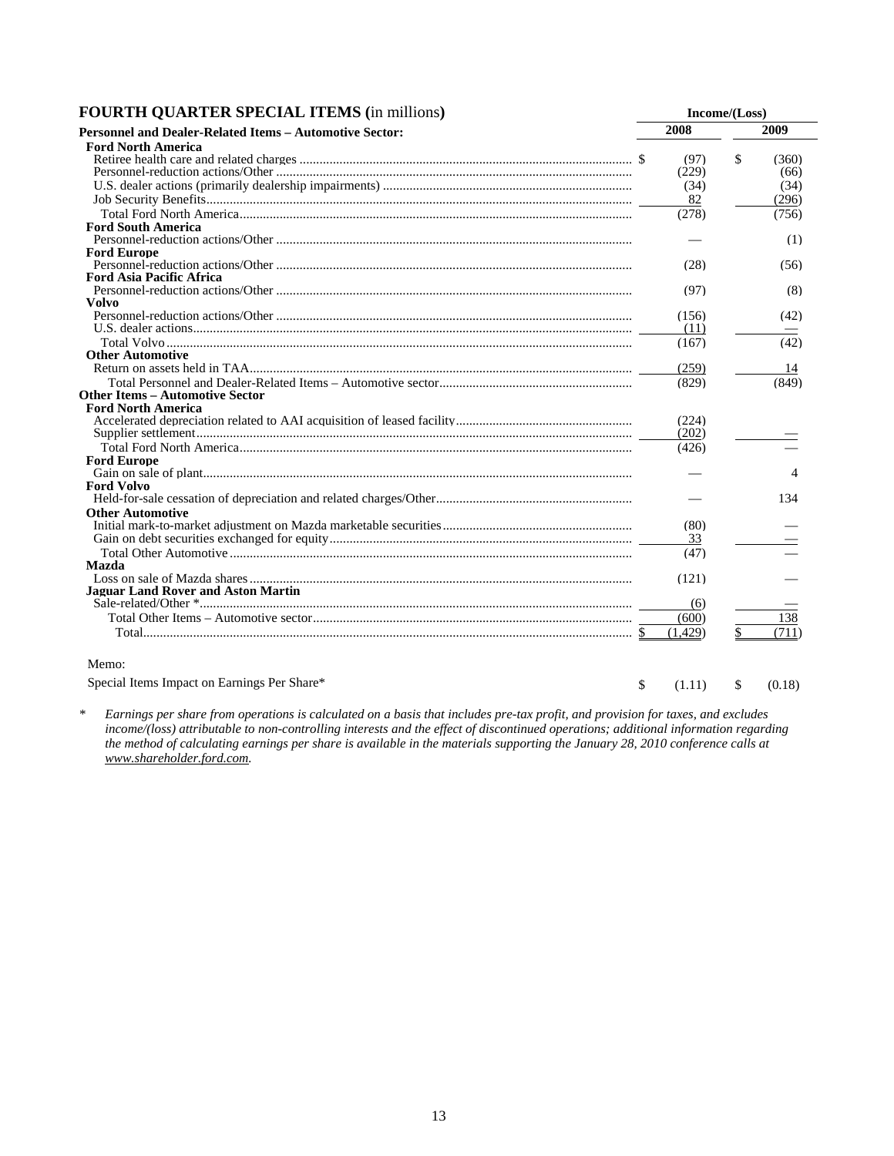| <b>FOURTH QUARTER SPECIAL ITEMS (in millions)</b> |  | Income/(Loss) |
|---------------------------------------------------|--|---------------|
|---------------------------------------------------|--|---------------|

| I OCKTII QUAKTER DI ECIALI ITEMD (III IIIIIIIOIIS)      |         | $\text{HICUIIIU} \left( \text{LUS3} \right)$ |
|---------------------------------------------------------|---------|----------------------------------------------|
| Personnel and Dealer-Related Items - Automotive Sector: | 2008    | 2009                                         |
| <b>Ford North America</b>                               |         |                                              |
|                                                         | (97)    | \$<br>(360)                                  |
|                                                         | (229)   | (66)                                         |
|                                                         | (34)    | (34)                                         |
|                                                         | 82      | (296)                                        |
|                                                         | (278)   | (756)                                        |
| <b>Ford South America</b>                               |         |                                              |
|                                                         |         | (1)                                          |
| <b>Ford Europe</b>                                      |         |                                              |
|                                                         | (28)    | (56)                                         |
| <b>Ford Asia Pacific Africa</b>                         |         |                                              |
|                                                         | (97)    | (8)                                          |
| Volvo                                                   |         |                                              |
|                                                         | (156)   | (42)                                         |
|                                                         | (11)    |                                              |
|                                                         | (167)   | (42)                                         |
| <b>Other Automotive</b>                                 |         |                                              |
|                                                         | (259)   | 14                                           |
|                                                         | (829)   | (849)                                        |
| <b>Other Items – Automotive Sector</b>                  |         |                                              |
| <b>Ford North America</b>                               |         |                                              |
|                                                         | (224)   |                                              |
|                                                         | (202)   |                                              |
|                                                         | (426)   |                                              |
| <b>Ford Europe</b>                                      |         |                                              |
|                                                         |         | 4                                            |
| <b>Ford Volvo</b>                                       |         |                                              |
|                                                         |         | 134                                          |
| <b>Other Automotive</b>                                 |         |                                              |
|                                                         | (80)    |                                              |
|                                                         | 33      |                                              |
|                                                         | (47)    |                                              |
| <b>Mazda</b>                                            |         |                                              |
|                                                         | (121)   |                                              |
| <b>Jaguar Land Rover and Aston Martin</b>               | (6)     |                                              |
|                                                         | (600)   | 138                                          |
|                                                         | (1.429) | \$<br>(711)                                  |
| Memo:                                                   |         |                                              |

Special Items Impact on Earnings Per Share\*  $\qquad \qquad$  (1.11) \$ (0.18)

*\* Earnings per share from operations is calculated on a basis that includes pre-tax profit, and provision for taxes, and excludes income/(loss) attributable to non-controlling interests and the effect of discontinued operations; additional information regarding the method of calculating earnings per share is available in the materials supporting the January 28, 2010 conference calls at www.shareholder.ford.com.*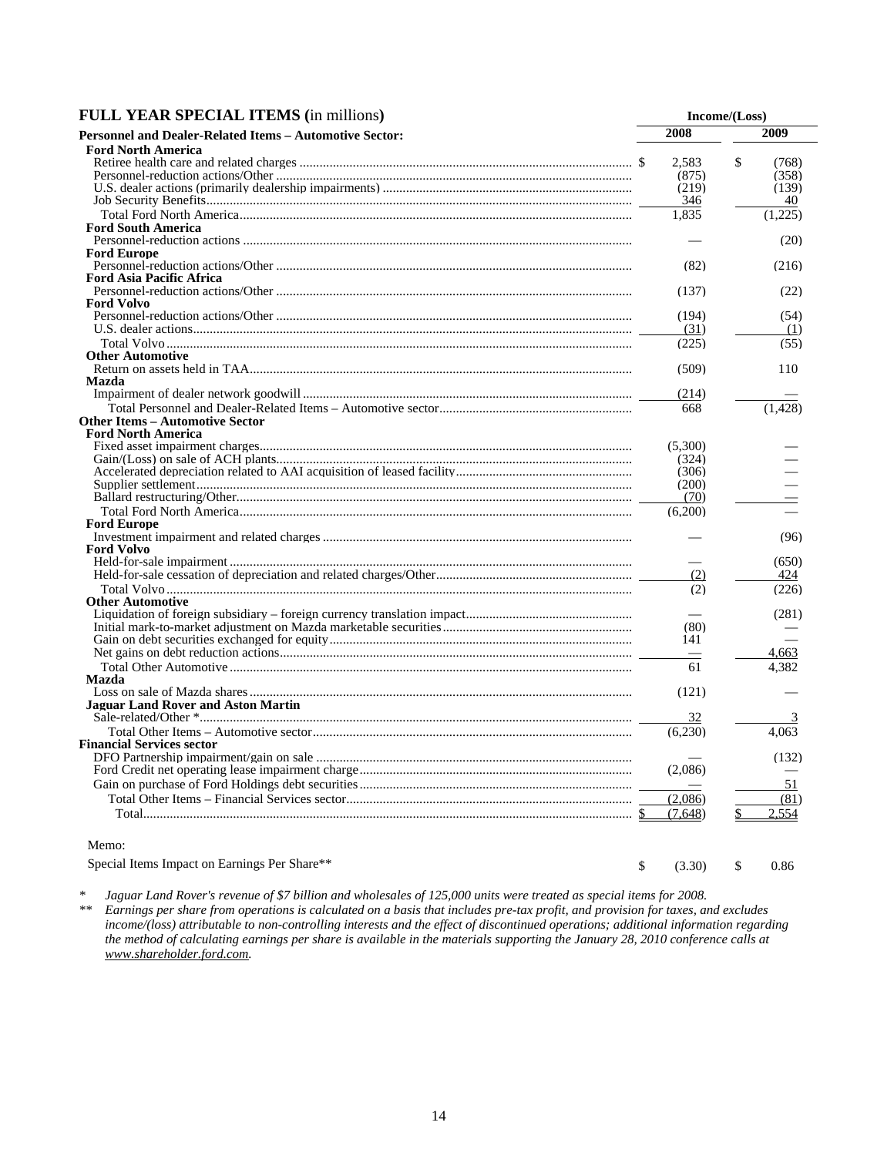| <b>FULL YEAR SPECIAL ITEMS (in millions)</b>            |         | Income/(Loss) |
|---------------------------------------------------------|---------|---------------|
| Personnel and Dealer-Related Items - Automotive Sector: | 2008    | 2009          |
| <b>Ford North America</b>                               |         |               |
|                                                         | 2.583   | \$<br>(768)   |
|                                                         | (875)   | (358)         |
|                                                         | (219)   | (139)         |
|                                                         | 346     | 40            |
|                                                         | 1,835   | (1.225)       |
| <b>Ford South America</b>                               |         |               |
|                                                         |         | (20)          |
| <b>Ford Europe</b>                                      |         |               |
|                                                         | (82)    | (216)         |
| <b>Ford Asia Pacific Africa</b>                         |         |               |
|                                                         | (137)   | (22)          |
| <b>Ford Volvo</b>                                       |         |               |
|                                                         | (194)   | (54)          |
|                                                         | (31)    | (1)           |
|                                                         | (225)   | (55)          |
| <b>Other Automotive</b>                                 |         |               |
|                                                         | (509)   | 110           |
| Mazda                                                   |         |               |
|                                                         | (214)   |               |
|                                                         | 668     | (1.428)       |
| Other Items – Automotive Sector                         |         |               |
| <b>Ford North America</b>                               |         |               |
|                                                         | (5,300) |               |
|                                                         | (324)   |               |
|                                                         | (306)   |               |
|                                                         | (200)   |               |
|                                                         | (70)    |               |
|                                                         | (6,200) |               |
| <b>Ford Europe</b>                                      |         |               |
|                                                         |         | (96)          |
| <b>Ford Volvo</b>                                       |         |               |
|                                                         |         | (650)         |
|                                                         | (2)     | 424           |
|                                                         | (2)     | (226)         |
| <b>Other Automotive</b>                                 |         |               |
|                                                         |         | (281)         |
|                                                         | (80)    |               |
|                                                         | 141     |               |
|                                                         |         | 4.663         |
|                                                         | 61      | 4.382         |
| Mazda                                                   |         |               |
|                                                         | (121)   |               |
| <b>Jaguar Land Rover and Aston Martin</b>               |         |               |
|                                                         | 32      |               |
|                                                         | (6,230) | 4,063         |
| <b>Financial Services sector</b>                        |         |               |
|                                                         |         | (132)         |
|                                                         | (2,086) |               |
|                                                         |         | 51            |
|                                                         | (2,086) | (81)          |
|                                                         | (7,648) | 2.554<br>\$   |

Special Items Impact on Earnings Per Share\*\*  $\qquad \qquad$  \$ (3.30) \$ 0.86

*\* Jaguar Land Rover's revenue of \$7 billion and wholesales of 125,000 units were treated as special items for 2008. \*\* Earnings per share from operations is calculated on a basis that includes pre-tax profit, and provision for taxes, and excludes income/(loss) attributable to non-controlling interests and the effect of discontinued operations; additional information regarding the method of calculating earnings per share is available in the materials supporting the January 28, 2010 conference calls at www.shareholder.ford.com.*